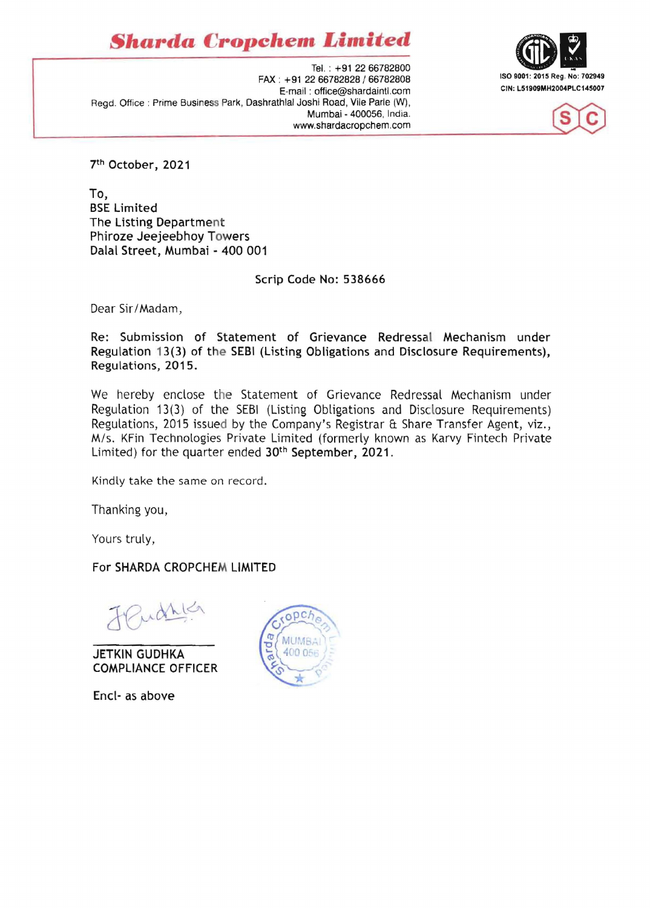*Sharda* **Cropchem** *Limited* 







7th October, 2021

To, BSE Limited The Listing Department Phiroze Jeejeebhov Towers Dalal Street, Mumbai - 400 001

Scrip Code No: 538666

Dear Sir/Madam,

Re: Submission of Statement of Grievance Redressal Mechanism under Regulation 13(3) of the SEBI (Listing Obligations and Disclosure Requirements), Regulations, 2015.

We hereby enclose the Statement of Grievance Redressal Mechanism under Regulation 13(3) of the SEBI (Listing Obligations and Disclosure Requirements) Regulations, 2015 issued by the Company's Registrar ft Share Transfer Agent, viz., M/s. KFin Technologies Private limited (formerly known as Karvy Fintech Private Limited) for the quarter ended 30<sup>th</sup> September, 2021.

Kindly take the same on record.

Thanking you,

Yours truly,

For SHARDA CROPCHEM LIMITED

udric

JETKIN GUDHKA COMPLIANCE OFFICER

Encl- as above